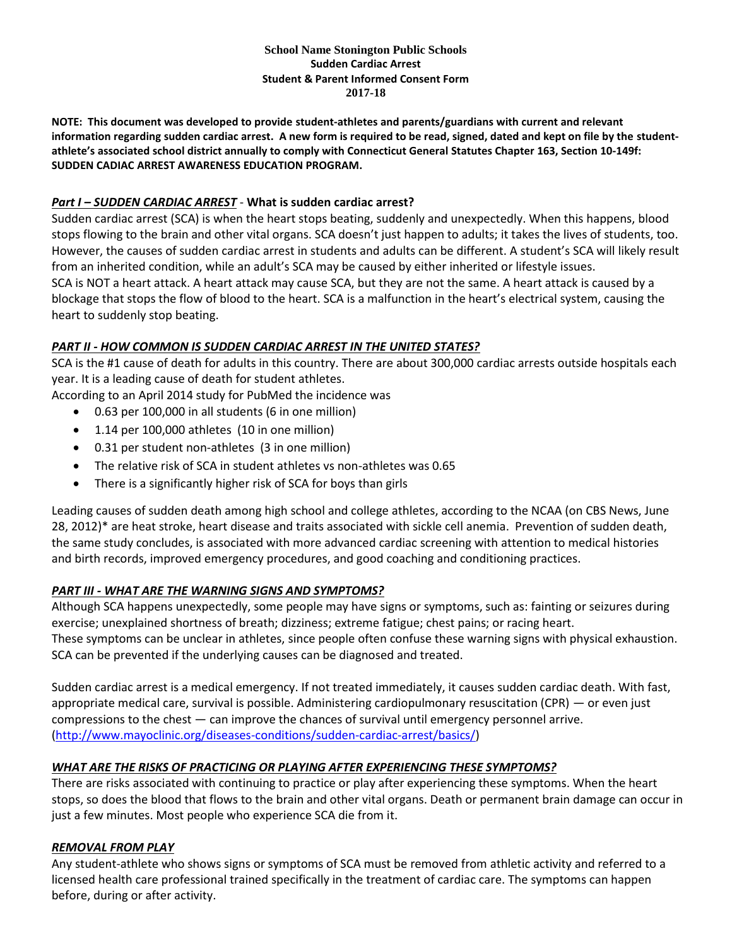#### **School Name Stonington Public Schools Sudden Cardiac Arrest Student & Parent Informed Consent Form 2017-18**

**NOTE: This document was developed to provide student-athletes and parents/guardians with current and relevant information regarding sudden cardiac arrest. A new form is required to be read, signed, dated and kept on file by the studentathlete's associated school district annually to comply with Connecticut General Statutes Chapter 163, Section 10-149f: SUDDEN CADIAC ARREST AWARENESS EDUCATION PROGRAM.**

## *Part I – SUDDEN CARDIAC ARREST* - **What is sudden cardiac arrest?**

Sudden cardiac arrest (SCA) is when the heart stops beating, suddenly and unexpectedly. When this happens, blood stops flowing to the brain and other vital organs. SCA doesn't just happen to adults; it takes the lives of students, too. However, the causes of sudden cardiac arrest in students and adults can be different. A student's SCA will likely result from an inherited condition, while an adult's SCA may be caused by either inherited or lifestyle issues. SCA is NOT a heart attack. A heart attack may cause SCA, but they are not the same. A heart attack is caused by a blockage that stops the flow of blood to the heart. SCA is a malfunction in the heart's electrical system, causing the heart to suddenly stop beating.

### *PART II - HOW COMMON IS SUDDEN CARDIAC ARREST IN THE UNITED STATES?*

SCA is the #1 cause of death for adults in this country. There are about 300,000 cardiac arrests outside hospitals each year. It is a leading cause of death for student athletes.

According to an April 2014 study for PubMed the incidence was

- 0.63 per 100,000 in all students (6 in one million)
- 1.14 per 100,000 athletes (10 in one million)
- 0.31 per student non-athletes (3 in one million)
- The relative risk of SCA in student athletes vs non-athletes was 0.65
- There is a significantly higher risk of SCA for boys than girls

Leading causes of sudden death among high school and college athletes, according to the NCAA (on CBS News, June 28, 2012)\* are heat stroke, heart disease and traits associated with sickle cell anemia. Prevention of sudden death, the same study concludes, is associated with more advanced cardiac screening with attention to medical histories and birth records, improved emergency procedures, and good coaching and conditioning practices.

# *PART III - WHAT ARE THE WARNING SIGNS AND SYMPTOMS?*

Although SCA happens unexpectedly, some people may have signs or symptoms, such as: fainting or seizures during exercise; unexplained shortness of breath; dizziness; extreme fatigue; chest pains; or racing heart. These symptoms can be unclear in athletes, since people often confuse these warning signs with physical exhaustion. SCA can be prevented if the underlying causes can be diagnosed and treated.

Sudden cardiac arrest is a medical emergency. If not treated immediately, it causes sudden cardiac death. With fast, appropriate medical care, survival is possible. Administering cardiopulmonary resuscitation (CPR) — or even just compressions to the chest — can improve the chances of survival until emergency personnel arrive. [\(http://www.mayoclinic.org/diseases-conditions/sudden-cardiac-arrest/basics/\)](http://www.mayoclinic.org/diseases-conditions/sudden-cardiac-arrest/basics/)

# *WHAT ARE THE RISKS OF PRACTICING OR PLAYING AFTER EXPERIENCING THESE SYMPTOMS?*

There are risks associated with continuing to practice or play after experiencing these symptoms. When the heart stops, so does the blood that flows to the brain and other vital organs. Death or permanent brain damage can occur in just a few minutes. Most people who experience SCA die from it.

### *REMOVAL FROM PLAY*

Any student-athlete who shows signs or symptoms of SCA must be removed from athletic activity and referred to a licensed health care professional trained specifically in the treatment of cardiac care. The symptoms can happen before, during or after activity.